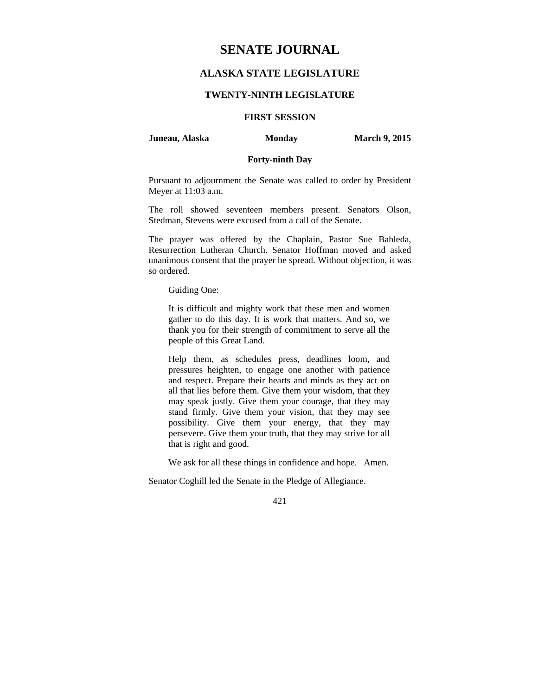# **SENATE JOURNAL**

# **ALASKA STATE LEGISLATURE**

#### **TWENTY-NINTH LEGISLATURE**

# **FIRST SESSION**

**Juneau, Alaska** Monday **March 9, 2015** 

#### **Forty-ninth Day**

Pursuant to adjournment the Senate was called to order by President Meyer at 11:03 a.m.

The roll showed seventeen members present. Senators Olson, Stedman, Stevens were excused from a call of the Senate.

The prayer was offered by the Chaplain, Pastor Sue Bahleda, Resurrection Lutheran Church. Senator Hoffman moved and asked unanimous consent that the prayer be spread. Without objection, it was so ordered.

Guiding One:

It is difficult and mighty work that these men and women gather to do this day. It is work that matters. And so, we thank you for their strength of commitment to serve all the people of this Great Land.

Help them, as schedules press, deadlines loom, and pressures heighten, to engage one another with patience and respect. Prepare their hearts and minds as they act on all that lies before them. Give them your wisdom, that they may speak justly. Give them your courage, that they may stand firmly. Give them your vision, that they may see possibility. Give them your energy, that they may persevere. Give them your truth, that they may strive for all that is right and good.

We ask for all these things in confidence and hope. Amen.

Senator Coghill led the Senate in the Pledge of Allegiance.

421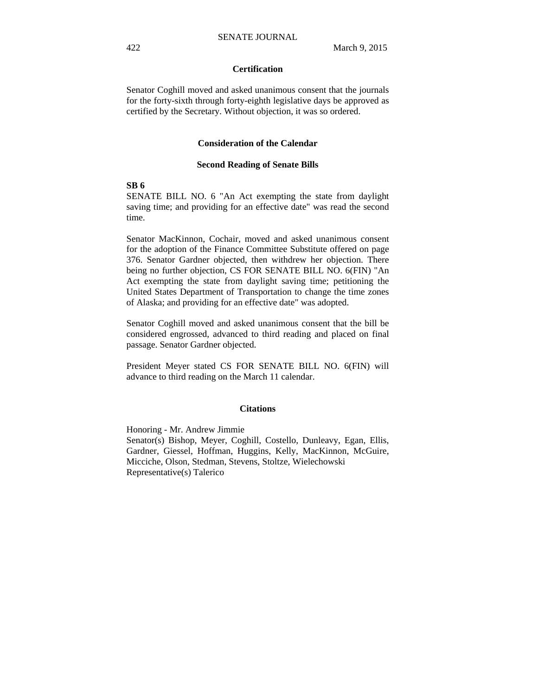#### **Certification**

Senator Coghill moved and asked unanimous consent that the journals for the forty-sixth through forty-eighth legislative days be approved as certified by the Secretary. Without objection, it was so ordered.

#### **Consideration of the Calendar**

#### **Second Reading of Senate Bills**

#### **SB 6**

SENATE BILL NO. 6 "An Act exempting the state from daylight saving time; and providing for an effective date" was read the second time.

Senator MacKinnon, Cochair, moved and asked unanimous consent for the adoption of the Finance Committee Substitute offered on page 376. Senator Gardner objected, then withdrew her objection. There being no further objection, CS FOR SENATE BILL NO. 6(FIN) "An Act exempting the state from daylight saving time; petitioning the United States Department of Transportation to change the time zones of Alaska; and providing for an effective date" was adopted.

Senator Coghill moved and asked unanimous consent that the bill be considered engrossed, advanced to third reading and placed on final passage. Senator Gardner objected.

President Meyer stated CS FOR SENATE BILL NO. 6(FIN) will advance to third reading on the March 11 calendar.

#### **Citations**

Honoring - Mr. Andrew Jimmie Senator(s) Bishop, Meyer, Coghill, Costello, Dunleavy, Egan, Ellis, Gardner, Giessel, Hoffman, Huggins, Kelly, MacKinnon, McGuire, Micciche, Olson, Stedman, Stevens, Stoltze, Wielechowski Representative(s) Talerico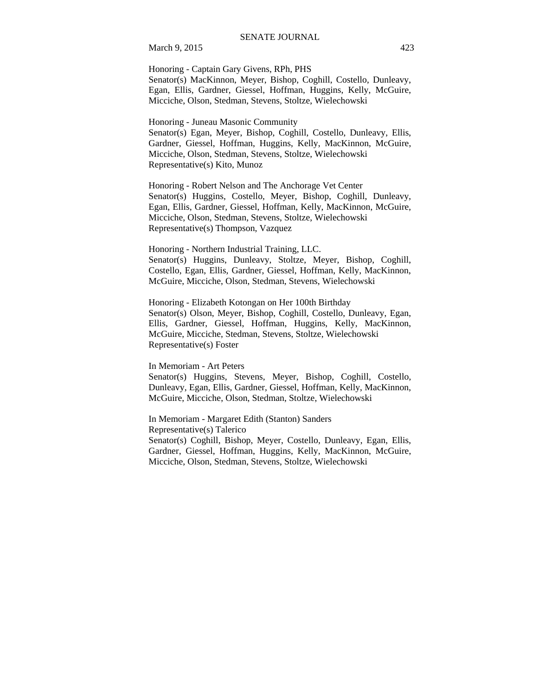March 9, 2015 423

Honoring - Captain Gary Givens, RPh, PHS Senator(s) MacKinnon, Meyer, Bishop, Coghill, Costello, Dunleavy, Egan, Ellis, Gardner, Giessel, Hoffman, Huggins, Kelly, McGuire, Micciche, Olson, Stedman, Stevens, Stoltze, Wielechowski

Honoring - Juneau Masonic Community

Senator(s) Egan, Meyer, Bishop, Coghill, Costello, Dunleavy, Ellis, Gardner, Giessel, Hoffman, Huggins, Kelly, MacKinnon, McGuire, Micciche, Olson, Stedman, Stevens, Stoltze, Wielechowski Representative(s) Kito, Munoz

Honoring - Robert Nelson and The Anchorage Vet Center Senator(s) Huggins, Costello, Meyer, Bishop, Coghill, Dunleavy, Egan, Ellis, Gardner, Giessel, Hoffman, Kelly, MacKinnon, McGuire, Micciche, Olson, Stedman, Stevens, Stoltze, Wielechowski Representative(s) Thompson, Vazquez

Honoring - Northern Industrial Training, LLC. Senator(s) Huggins, Dunleavy, Stoltze, Meyer, Bishop, Coghill, Costello, Egan, Ellis, Gardner, Giessel, Hoffman, Kelly, MacKinnon, McGuire, Micciche, Olson, Stedman, Stevens, Wielechowski

Honoring - Elizabeth Kotongan on Her 100th Birthday Senator(s) Olson, Meyer, Bishop, Coghill, Costello, Dunleavy, Egan, Ellis, Gardner, Giessel, Hoffman, Huggins, Kelly, MacKinnon, McGuire, Micciche, Stedman, Stevens, Stoltze, Wielechowski Representative(s) Foster

In Memoriam - Art Peters

Senator(s) Huggins, Stevens, Meyer, Bishop, Coghill, Costello, Dunleavy, Egan, Ellis, Gardner, Giessel, Hoffman, Kelly, MacKinnon, McGuire, Micciche, Olson, Stedman, Stoltze, Wielechowski

In Memoriam - Margaret Edith (Stanton) Sanders Representative(s) Talerico Senator(s) Coghill, Bishop, Meyer, Costello, Dunleavy, Egan, Ellis, Gardner, Giessel, Hoffman, Huggins, Kelly, MacKinnon, McGuire, Micciche, Olson, Stedman, Stevens, Stoltze, Wielechowski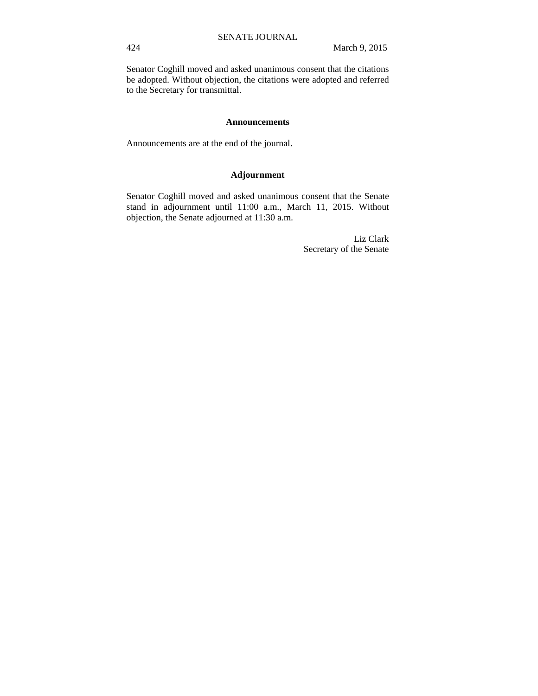Senator Coghill moved and asked unanimous consent that the citations be adopted. Without objection, the citations were adopted and referred to the Secretary for transmittal.

#### **Announcements**

Announcements are at the end of the journal.

## **Adjournment**

Senator Coghill moved and asked unanimous consent that the Senate stand in adjournment until 11:00 a.m., March 11, 2015. Without objection, the Senate adjourned at 11:30 a.m.

> Liz Clark Secretary of the Senate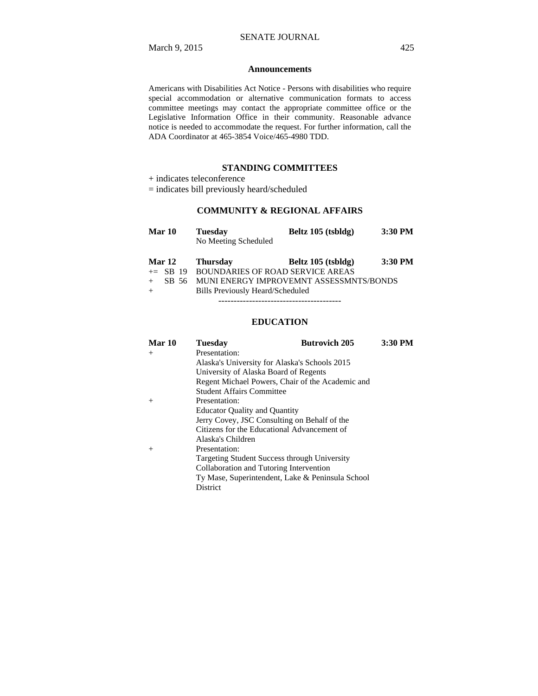#### **Announcements**

Americans with Disabilities Act Notice - Persons with disabilities who require special accommodation or alternative communication formats to access committee meetings may contact the appropriate committee office or the Legislative Information Office in their community. Reasonable advance notice is needed to accommodate the request. For further information, call the ADA Coordinator at 465-3854 Voice/465-4980 TDD.

#### **STANDING COMMITTEES**

+ indicates teleconference

= indicates bill previously heard/scheduled

## **COMMUNITY & REGIONAL AFFAIRS**

| Mar 10        | <b>Tuesday</b>       | Beltz 105 (tsbldg)                          | 3:30 PM |
|---------------|----------------------|---------------------------------------------|---------|
|               | No Meeting Scheduled |                                             |         |
| <b>Mar 12</b> | <b>Thursday</b>      | Beltz 105 (tsbldg)                          | 3:30 PM |
|               |                      | $+=$ SB 19 BOUNDARIES OF ROAD SERVICE AREAS |         |
| SB 56         |                      | MUNI ENERGY IMPROVEMNT ASSESSMNTS/BONDS     |         |
| $+$           |                      | Bills Previously Heard/Scheduled            |         |

----------------------------------------

#### **EDUCATION**

| Mar 10 | <b>Tuesday</b>                                      | <b>Butrovich 205</b> | 3:30 PM |  |  |
|--------|-----------------------------------------------------|----------------------|---------|--|--|
| $+$    | Presentation:                                       |                      |         |  |  |
|        | Alaska's University for Alaska's Schools 2015       |                      |         |  |  |
|        | University of Alaska Board of Regents               |                      |         |  |  |
|        | Regent Michael Powers, Chair of the Academic and    |                      |         |  |  |
|        | <b>Student Affairs Committee</b>                    |                      |         |  |  |
| $^{+}$ | Presentation:                                       |                      |         |  |  |
|        | <b>Educator Quality and Quantity</b>                |                      |         |  |  |
|        | Jerry Covey, JSC Consulting on Behalf of the        |                      |         |  |  |
|        | Citizens for the Educational Advancement of         |                      |         |  |  |
|        | Alaska's Children                                   |                      |         |  |  |
| $+$    | Presentation:                                       |                      |         |  |  |
|        | <b>Targeting Student Success through University</b> |                      |         |  |  |
|        | Collaboration and Tutoring Intervention             |                      |         |  |  |
|        | Ty Mase, Superintendent, Lake & Peninsula School    |                      |         |  |  |
|        | District                                            |                      |         |  |  |
|        |                                                     |                      |         |  |  |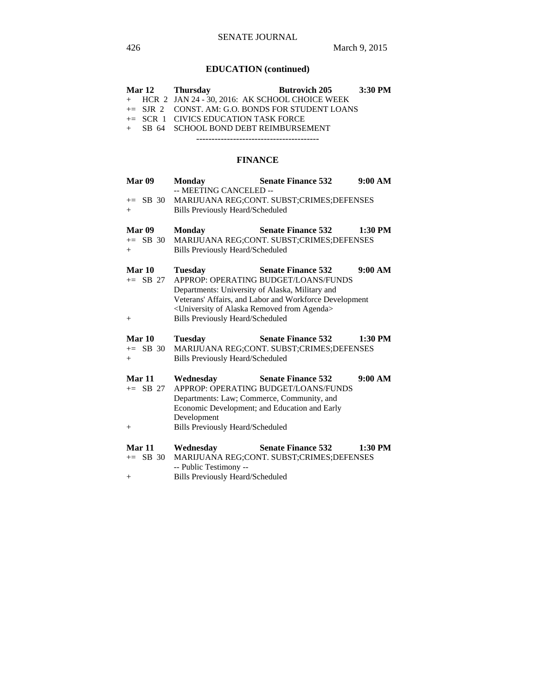# **EDUCATION (continued)**

| Mar 12                  | <b>Thursday</b>                                                        | <b>Butrovich 205</b>                                   | 3:30 PM |
|-------------------------|------------------------------------------------------------------------|--------------------------------------------------------|---------|
| HCR <sub>2</sub><br>$+$ |                                                                        | JAN 24 - 30, 2016: AK SCHOOL CHOICE WEEK               |         |
| $\pm$ SJR 2             |                                                                        | CONST. AM: G.O. BONDS FOR STUDENT LOANS                |         |
| $\pm$ SCR 1             | <b>CIVICS EDUCATION TASK FORCE</b>                                     |                                                        |         |
| SB 64<br>$+$            | SCHOOL BOND DEBT REIMBURSEMENT                                         |                                                        |         |
|                         |                                                                        |                                                        |         |
|                         |                                                                        | <b>FINANCE</b>                                         |         |
| Mar 09                  | <b>Monday</b><br>-- MEETING CANCELED --                                | <b>Senate Finance 532</b>                              | 9:00 AM |
| $+=$ SB 30              |                                                                        | MARIJUANA REG;CONT. SUBST;CRIMES;DEFENSES              |         |
| $^{+}$                  | <b>Bills Previously Heard/Scheduled</b>                                |                                                        |         |
| Mar 09                  | <b>Monday</b>                                                          | <b>Senate Finance 532</b>                              | 1:30 PM |
| $\pm$ SB 30             |                                                                        | MARIJUANA REG;CONT. SUBST;CRIMES;DEFENSES              |         |
| $^{+}$                  | <b>Bills Previously Heard/Scheduled</b>                                |                                                        |         |
| Mar 10                  | <b>Tuesday</b>                                                         | <b>Senate Finance 532</b>                              | 9:00 AM |
| $+=$ SB 27              |                                                                        | APPROP: OPERATING BUDGET/LOANS/FUNDS                   |         |
|                         | Departments: University of Alaska, Military and                        |                                                        |         |
|                         |                                                                        | Veterans' Affairs, and Labor and Workforce Development |         |
|                         | <university agenda="" alaska="" from="" of="" removed=""></university> |                                                        |         |
| $^+$                    | <b>Bills Previously Heard/Scheduled</b>                                |                                                        |         |
| Mar 10                  | <b>Tuesday</b>                                                         | <b>Senate Finance 532</b>                              | 1:30 PM |
| $\pm$ SB 30             |                                                                        | MARIJUANA REG;CONT. SUBST;CRIMES;DEFENSES              |         |
| $^{+}$                  | <b>Bills Previously Heard/Scheduled</b>                                |                                                        |         |
| Mar 11                  | Wednesday                                                              | <b>Senate Finance 532</b>                              | 9:00 AM |
| $+=$ SB 27              |                                                                        | APPROP: OPERATING BUDGET/LOANS/FUNDS                   |         |
|                         | Departments: Law; Commerce, Community, and                             |                                                        |         |
|                         |                                                                        | Economic Development; and Education and Early          |         |
|                         | Development                                                            |                                                        |         |
| $^{+}$                  | <b>Bills Previously Heard/Scheduled</b>                                |                                                        |         |
| Mar 11                  | Wednesday                                                              | <b>Senate Finance 532</b>                              | 1:30 PM |
| SB 30<br>$+=$           |                                                                        | MARIJUANA REG;CONT. SUBST;CRIMES;DEFENSES              |         |
|                         | -- Public Testimony --                                                 |                                                        |         |
| $\hspace{0.1mm} +$      | <b>Bills Previously Heard/Scheduled</b>                                |                                                        |         |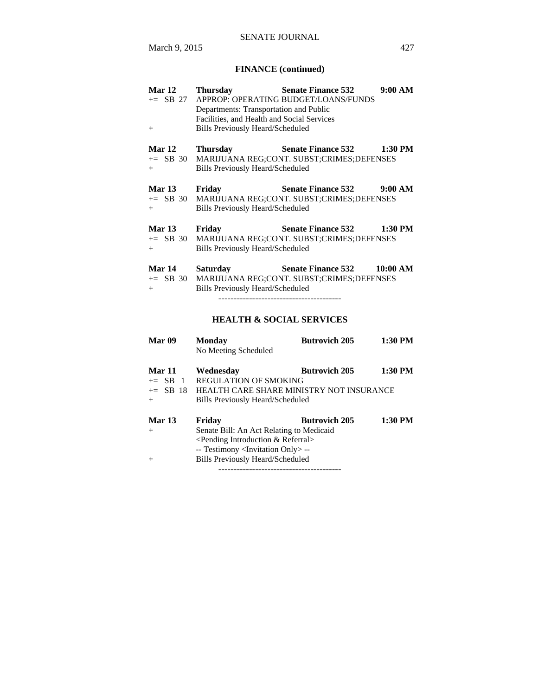# **FINANCE (continued)**

| Mar 12<br>$+=$ SB 27<br>$+$            | <b>Thursday</b><br>Departments: Transportation and Public<br>Facilities, and Health and Social Services<br><b>Bills Previously Heard/Scheduled</b> | <b>Senate Finance 532</b><br>APPROP: OPERATING BUDGET/LOANS/FUNDS      | 9:00 AM   |
|----------------------------------------|----------------------------------------------------------------------------------------------------------------------------------------------------|------------------------------------------------------------------------|-----------|
| Mar 12<br>$+=$ SB 30<br>$+$            | <b>Thursday</b><br><b>Bills Previously Heard/Scheduled</b>                                                                                         | <b>Senate Finance 532</b><br>MARIJUANA REG;CONT. SUBST;CRIMES;DEFENSES | $1:30$ PM |
| Mar 13<br>$+=$ SB 30<br>$+$            | Friday<br><b>Bills Previously Heard/Scheduled</b>                                                                                                  | <b>Senate Finance 532</b><br>MARIJUANA REG;CONT. SUBST;CRIMES;DEFENSES | 9:00 AM   |
| <b>Mar 13</b><br>$\pm$ SB 30<br>$^{+}$ | Friday<br><b>Bills Previously Heard/Scheduled</b>                                                                                                  | <b>Senate Finance 532</b><br>MARIJUANA REG;CONT. SUBST;CRIMES;DEFENSES | $1:30$ PM |
| <b>Mar 14</b><br>$+=$ SB 30<br>$+$     | Saturday<br><b>Bills Previously Heard/Scheduled</b>                                                                                                | <b>Senate Finance 532</b><br>MARIJUANA REG;CONT. SUBST;CRIMES;DEFENSES | 10:00 AM  |
|                                        |                                                                                                                                                    | <b>HEALTH &amp; SOCIAL SERVICES</b>                                    |           |

| Mar 09                      | <b>Monday</b><br>No Meeting Scheduled                                                                                                                                                             | <b>Butrovich 205</b> | 1:30 PM |
|-----------------------------|---------------------------------------------------------------------------------------------------------------------------------------------------------------------------------------------------|----------------------|---------|
| Mar 11<br>$+=$ SB 1<br>$+$  | Wednesday<br><b>REGULATION OF SMOKING</b><br>+= SB 18 HEALTH CARE SHARE MINISTRY NOT INSURANCE<br>Bills Previously Heard/Scheduled                                                                | <b>Butrovich 205</b> | 1:30 PM |
| <b>Mar 13</b><br>$+$<br>$+$ | Fridav<br>Senate Bill: An Act Relating to Medicaid<br>$\leq$ Pending Introduction & Referral $>$<br>-- Testimony <invitation only=""> --<br/><b>Bills Previously Heard/Scheduled</b></invitation> | <b>Butrovich 205</b> | 1:30 PM |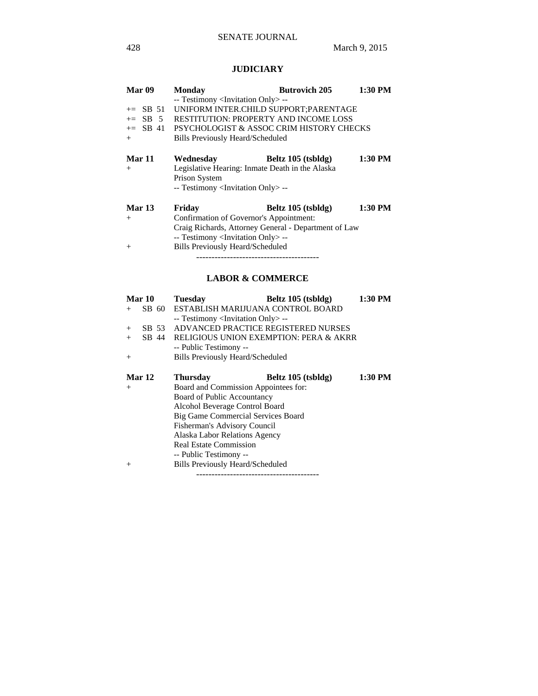# **JUDICIARY**

| Mar 09        | <b>Monday</b>                                        | <b>Butrovich 205</b> | 1:30 PM |  |
|---------------|------------------------------------------------------|----------------------|---------|--|
|               | -- Testimony <invitation only=""> --</invitation>    |                      |         |  |
| $+=$ SB 51    | UNIFORM INTER.CHILD SUPPORT; PARENTAGE               |                      |         |  |
| $\pm$ SB 5    | <b>RESTITUTION: PROPERTY AND INCOME LOSS</b>         |                      |         |  |
|               | += SB 41 PSYCHOLOGIST & ASSOC CRIM HISTORY CHECKS    |                      |         |  |
| $+$           | Bills Previously Heard/Scheduled                     |                      |         |  |
|               |                                                      |                      |         |  |
| <b>Mar 11</b> | Wednesday                                            | Beltz 105 (tsbldg)   | 1:30 PM |  |
| $+$           | Legislative Hearing: Inmate Death in the Alaska      |                      |         |  |
|               | Prison System                                        |                      |         |  |
|               | -- Testimony <invitation only=""> --</invitation>    |                      |         |  |
| <b>Mar 13</b> | Friday                                               | Beltz 105 (tsbldg)   | 1:30 PM |  |
| $+$           | Confirmation of Governor's Appointment:              |                      |         |  |
|               | Craig Richards, Attorney General - Department of Law |                      |         |  |
|               | -- Testimony <invitation only=""> --</invitation>    |                      |         |  |
| $^{+}$        | <b>Bills Previously Heard/Scheduled</b>              |                      |         |  |
|               |                                                      |                      |         |  |

# **LABOR & COMMERCE**

|        | Mar 10 | <b>Tuesday</b>                                    | Beltz 105 (tsbldg)                     | 1:30 PM |
|--------|--------|---------------------------------------------------|----------------------------------------|---------|
| $+$    | SB 60  | ESTABLISH MARIJUANA CONTROL BOARD                 |                                        |         |
|        |        | -- Testimony <invitation only=""> --</invitation> |                                        |         |
| $^{+}$ | SB 53  | ADVANCED PRACTICE REGISTERED NURSES               |                                        |         |
| $+$    | SB 44  |                                                   | RELIGIOUS UNION EXEMPTION: PERA & AKRR |         |
|        |        | -- Public Testimony --                            |                                        |         |
| $^{+}$ |        | <b>Bills Previously Heard/Scheduled</b>           |                                        |         |
|        |        |                                                   |                                        |         |
|        | Mar 12 | <b>Thursday</b>                                   | Beltz 105 (tsbldg)                     | 1:30 PM |
| $^{+}$ |        | Board and Commission Appointees for:              |                                        |         |
|        |        | Board of Public Accountancy                       |                                        |         |
|        |        | Alcohol Beverage Control Board                    |                                        |         |
|        |        | Big Game Commercial Services Board                |                                        |         |
|        |        | Fisherman's Advisory Council                      |                                        |         |
|        |        | Alaska Labor Relations Agency                     |                                        |         |
|        |        | <b>Real Estate Commission</b>                     |                                        |         |
|        |        | -- Public Testimony --                            |                                        |         |
| $+$    |        | <b>Bills Previously Heard/Scheduled</b>           |                                        |         |

----------------------------------------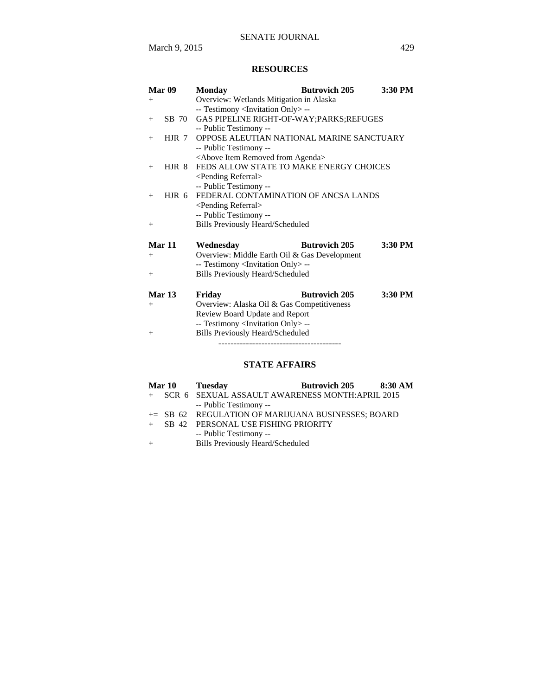# **RESOURCES**

| Mar 09            | <b>Monday</b>                                        | <b>Butrovich 205</b> | 3:30 PM   |  |  |
|-------------------|------------------------------------------------------|----------------------|-----------|--|--|
| $+$               | Overview: Wetlands Mitigation in Alaska              |                      |           |  |  |
|                   | -- Testimony <invitation only="">--</invitation>     |                      |           |  |  |
| SB 70<br>$^{+}$   | GAS PIPELINE RIGHT-OF-WAY; PARKS; REFUGES            |                      |           |  |  |
|                   | -- Public Testimony --                               |                      |           |  |  |
| $HJR$ 7<br>$^{+}$ | OPPOSE ALEUTIAN NATIONAL MARINE SANCTUARY            |                      |           |  |  |
|                   | -- Public Testimony --                               |                      |           |  |  |
|                   | <above agenda="" from="" item="" removed=""></above> |                      |           |  |  |
| $H$ JR 8<br>$+$   | FEDS ALLOW STATE TO MAKE ENERGY CHOICES              |                      |           |  |  |
|                   | <pending referral=""></pending>                      |                      |           |  |  |
|                   | -- Public Testimony --                               |                      |           |  |  |
| HJR 6<br>$+$      | FEDERAL CONTAMINATION OF ANCSA LANDS                 |                      |           |  |  |
|                   | <pending referral=""></pending>                      |                      |           |  |  |
|                   | -- Public Testimony --                               |                      |           |  |  |
| $^{+}$            | <b>Bills Previously Heard/Scheduled</b>              |                      |           |  |  |
| Mar 11            | Wednesday                                            | <b>Butrovich 205</b> | $3:30$ PM |  |  |
| $+$               | Overview: Middle Earth Oil & Gas Development         |                      |           |  |  |
|                   | -- Testimony <invitation only="">--</invitation>     |                      |           |  |  |
| $^{+}$            | <b>Bills Previously Heard/Scheduled</b>              |                      |           |  |  |
|                   |                                                      |                      |           |  |  |
| Mar <sub>13</sub> | Friday                                               | <b>Butrovich 205</b> | $3:30$ PM |  |  |
| $+$               |                                                      |                      |           |  |  |
|                   | Overview: Alaska Oil & Gas Competitiveness           |                      |           |  |  |
|                   | Review Board Update and Report                       |                      |           |  |  |
|                   | -- Testimony <invitation only=""> --</invitation>    |                      |           |  |  |
| $^{+}$            | <b>Bills Previously Heard/Scheduled</b>              |                      |           |  |  |
|                   |                                                      |                      |           |  |  |

# **STATE AFFAIRS**

|  | Mar 10 Tuesday                                     | Butrovich 205 8:30 AM                             |  |
|--|----------------------------------------------------|---------------------------------------------------|--|
|  |                                                    | + SCR 6 SEXUAL ASSAULT AWARENESS MONTH:APRIL 2015 |  |
|  | -- Public Testimony --                             |                                                   |  |
|  | += SB 62 REGULATION OF MARIJUANA BUSINESSES; BOARD |                                                   |  |
|  | SB 42 PERSONAL USE FISHING PRIORITY                |                                                   |  |
|  | -- Public Testimony --                             |                                                   |  |
|  | <b>Bills Previously Heard/Scheduled</b>            |                                                   |  |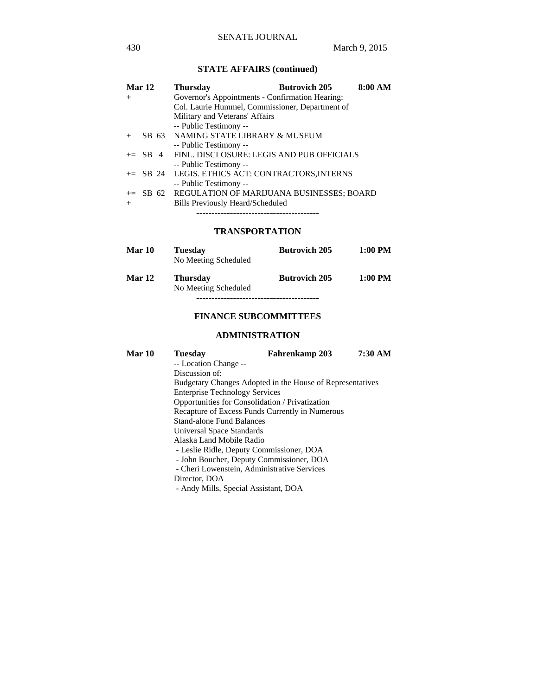# **STATE AFFAIRS (continued)**

| Mar 12 |  | <b>Thursday</b>                                     | <b>Butrovich 205</b> | 8:00 AM |
|--------|--|-----------------------------------------------------|----------------------|---------|
| $^{+}$ |  | Governor's Appointments - Confirmation Hearing:     |                      |         |
|        |  | Col. Laurie Hummel, Commissioner, Department of     |                      |         |
|        |  | Military and Veterans' Affairs                      |                      |         |
|        |  | -- Public Testimony --                              |                      |         |
| $+$    |  | SB 63 NAMING STATE LIBRARY & MUSEUM                 |                      |         |
|        |  | -- Public Testimony --                              |                      |         |
|        |  | $+=$ SB 4 FINL, DISCLOSURE: LEGIS AND PUB OFFICIALS |                      |         |
|        |  | -- Public Testimony --                              |                      |         |
|        |  | += SB 24 LEGIS. ETHICS ACT: CONTRACTORS, INTERNS    |                      |         |
|        |  | -- Public Testimony --                              |                      |         |
|        |  | += SB 62 REGULATION OF MARIJUANA BUSINESSES; BOARD  |                      |         |
| $+$    |  | Bills Previously Heard/Scheduled                    |                      |         |
|        |  |                                                     |                      |         |

#### **TRANSPORTATION**

| Mar 10        | <b>Tuesday</b><br>No Meeting Scheduled  | <b>Butrovich 205</b> | $1:00$ PM |
|---------------|-----------------------------------------|----------------------|-----------|
| <b>Mar 12</b> | <b>Thursday</b><br>No Meeting Scheduled | <b>Butrovich 205</b> | $1:00$ PM |
|               |                                         |                      |           |

#### **FINANCE SUBCOMMITTEES**

#### **ADMINISTRATION**

| Mar 10                                          | Tuesdav                                                   | Fahrenkamp 203 | 7:30 AM |
|-------------------------------------------------|-----------------------------------------------------------|----------------|---------|
|                                                 | -- Location Change --                                     |                |         |
|                                                 | Discussion of:                                            |                |         |
|                                                 | Budgetary Changes Adopted in the House of Representatives |                |         |
|                                                 | <b>Enterprise Technology Services</b>                     |                |         |
| Opportunities for Consolidation / Privatization |                                                           |                |         |
|                                                 | Recapture of Excess Funds Currently in Numerous           |                |         |
| <b>Stand-alone Fund Balances</b>                |                                                           |                |         |
|                                                 | Universal Space Standards                                 |                |         |
|                                                 | Alaska Land Mobile Radio                                  |                |         |
|                                                 | - Leslie Ridle, Deputy Commissioner, DOA                  |                |         |
|                                                 | - John Boucher, Deputy Commissioner, DOA                  |                |         |
|                                                 | - Cheri Lowenstein, Administrative Services               |                |         |
|                                                 | Director, DOA                                             |                |         |
|                                                 | - Andy Mills, Special Assistant, DOA                      |                |         |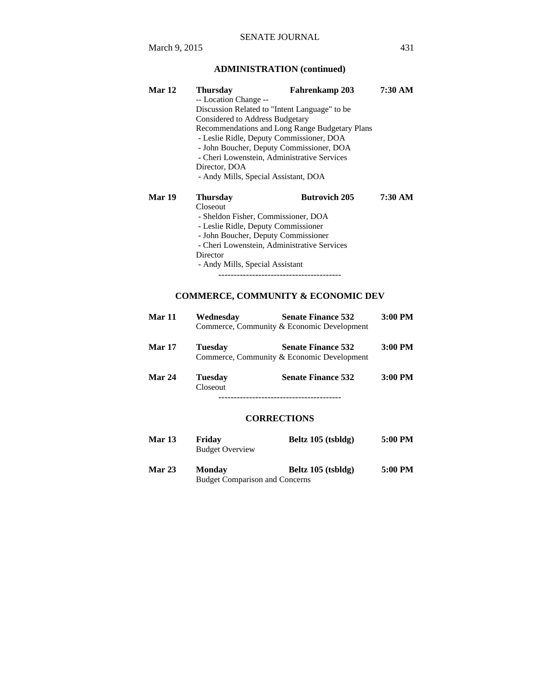| Mar 12 | <b>Thursday</b>                                                               | Fahrenkamp 203       | 7:30 AM |  |
|--------|-------------------------------------------------------------------------------|----------------------|---------|--|
|        | -- Location Change --                                                         |                      |         |  |
|        | Discussion Related to "Intent Language" to be                                 |                      |         |  |
|        | Considered to Address Budgetary                                               |                      |         |  |
|        | Recommendations and Long Range Budgetary Plans                                |                      |         |  |
|        | - Leslie Ridle, Deputy Commissioner, DOA                                      |                      |         |  |
|        | - John Boucher, Deputy Commissioner, DOA                                      |                      |         |  |
|        | - Cheri Lowenstein, Administrative Services                                   |                      |         |  |
|        | Director, DOA                                                                 |                      |         |  |
|        | - Andy Mills, Special Assistant, DOA                                          |                      |         |  |
| Mar 19 | <b>Thursday</b>                                                               | <b>Butrovich 205</b> | 7:30 AM |  |
|        | Closeout                                                                      |                      |         |  |
|        | - Sheldon Fisher, Commissioner, DOA                                           |                      |         |  |
|        | $\mathbf{r}$ $\mathbf{r}$ $\mathbf{n}$ $\mathbf{r}$ $\mathbf{n}$ $\mathbf{n}$ |                      |         |  |

- Leslie Ridle, Deputy Commissioner

- John Boucher, Deputy Commissioner
	- Cheri Lowenstein, Administrative Services
	- Director
	- Andy Mills, Special Assistant

----------------------------------------

# **COMMERCE, COMMUNITY & ECONOMIC DEV**

| Mar 11        | Wednesdav                  | <b>Senate Finance 532</b><br>Commerce, Community & Economic Development | $3:00$ PM |
|---------------|----------------------------|-------------------------------------------------------------------------|-----------|
| <b>Mar 17</b> | <b>Tuesday</b>             | <b>Senate Finance 532</b><br>Commerce, Community & Economic Development | $3:00$ PM |
| Mar 24        | <b>Tuesday</b><br>Closeout | <b>Senate Finance 532</b>                                               | $3:00$ PM |
|               |                            |                                                                         |           |

#### **CORRECTIONS**

| Mar 13        | Friday<br><b>Budget Overview</b>                       | Beltz 105 (tsbldg) | 5:00 PM |
|---------------|--------------------------------------------------------|--------------------|---------|
| <b>Mar 23</b> | <b>Monday</b><br><b>Budget Comparison and Concerns</b> | Beltz 105 (tsbldg) | 5:00 PM |

March 9, 2015 431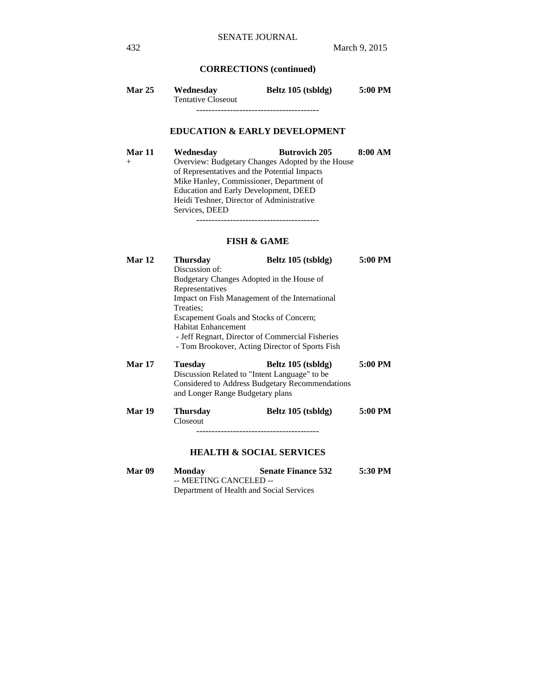## **CORRECTIONS (continued)**

| <b>Mar 25</b> | Wednesday                 | Beltz 105 (tsbldg) | 5:00 PM |
|---------------|---------------------------|--------------------|---------|
|               | <b>Tentative Closeout</b> |                    |         |
|               |                           |                    |         |

## **EDUCATION & EARLY DEVELOPMENT**

**Mar 11 Wednesday Butrovich 205 8:00 AM**  + Overview: Budgetary Changes Adopted by the House of Representatives and the Potential Impacts Mike Hanley, Commissioner, Department of Education and Early Development, DEED Heidi Teshner, Director of Administrative Services, DEED ----------------------------------------

#### **FISH & GAME**

| Mar 12        | <b>Thursday</b>                                  | Beltz 105 (tsbldg)                              | 5:00 PM |  |  |
|---------------|--------------------------------------------------|-------------------------------------------------|---------|--|--|
|               | Discussion of:                                   |                                                 |         |  |  |
|               |                                                  | Budgetary Changes Adopted in the House of       |         |  |  |
|               | Representatives                                  |                                                 |         |  |  |
|               |                                                  | Impact on Fish Management of the International  |         |  |  |
|               | Treaties:                                        |                                                 |         |  |  |
|               |                                                  | Escapement Goals and Stocks of Concern;         |         |  |  |
|               | <b>Habitat Enhancement</b>                       |                                                 |         |  |  |
|               | - Jeff Regnart, Director of Commercial Fisheries |                                                 |         |  |  |
|               |                                                  | - Tom Brookover, Acting Director of Sports Fish |         |  |  |
| <b>Mar 17</b> | <b>Tuesday</b>                                   | Beltz 105 (tsbldg)                              | 5:00 PM |  |  |
|               | Discussion Related to "Intent Language" to be    |                                                 |         |  |  |
|               |                                                  | Considered to Address Budgetary Recommendations |         |  |  |
|               | and Longer Range Budgetary plans                 |                                                 |         |  |  |
| Mar 19        | <b>Thursday</b>                                  | Beltz 105 (tsbldg)                              | 5:00 PM |  |  |
|               | Closeout                                         |                                                 |         |  |  |
|               |                                                  |                                                 |         |  |  |
|               |                                                  |                                                 |         |  |  |
|               |                                                  | <b>HEALTH &amp; SOCIAL SERVICES</b>             |         |  |  |
| Mar 09        | <b>Monday</b><br>MEETIMO OAMOEI ED.              | <b>Senate Finance 532</b>                       | 5:30 PM |  |  |

 -- MEETING CANCELED -- Department of Health and Social Services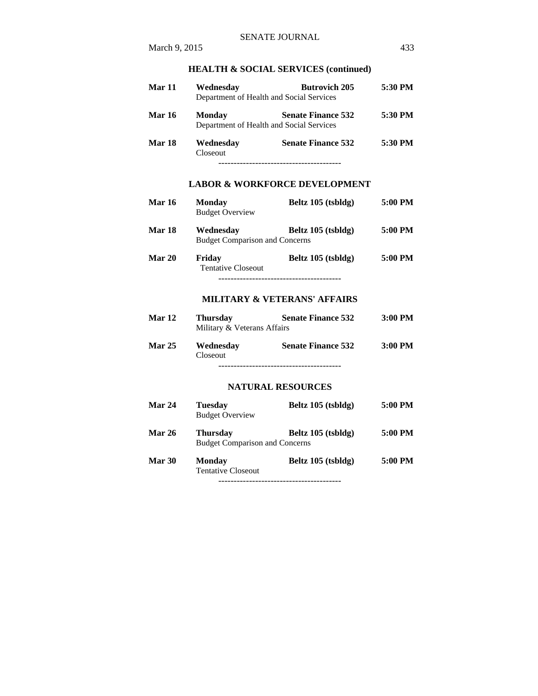#### **HEALTH & SOCIAL SERVICES (continued)**

| Mar 11        | Wednesday             | <b>Butrovich 205</b><br>Department of Health and Social Services      | 5:30 PM |
|---------------|-----------------------|-----------------------------------------------------------------------|---------|
| <b>Mar 16</b> | <b>Monday</b>         | <b>Senate Finance 532</b><br>Department of Health and Social Services | 5:30 PM |
| Mar 18        | Wednesday<br>Closeout | <b>Senate Finance 532</b>                                             | 5:30 PM |
|               |                       |                                                                       |         |

## **LABOR & WORKFORCE DEVELOPMENT**

| <b>Mar 16</b> | <b>Monday</b><br><b>Budget Overview</b>            | Beltz 105 (tsbldg) | 5:00 PM |
|---------------|----------------------------------------------------|--------------------|---------|
| Mar 18        | Wednesdav<br><b>Budget Comparison and Concerns</b> | Beltz 105 (tsbldg) | 5:00 PM |
| <b>Mar 20</b> | Friday<br><b>Tentative Closeout</b>                | Beltz 105 (tsbldg) | 5:00 PM |

----------------------------------------

#### **MILITARY & VETERANS' AFFAIRS**

| <b>Mar 12</b> | <b>Thursday</b><br>Military & Veterans Affairs | <b>Senate Finance 532</b> | $3:00$ PM |
|---------------|------------------------------------------------|---------------------------|-----------|
| <b>Mar 25</b> | Wednesday<br>Closeout                          | <b>Senate Finance 532</b> | $3:00$ PM |

----------------------------------------

#### **NATURAL RESOURCES**

| <b>Mar 24</b> | <b>Tuesday</b><br><b>Budget Overview</b>                 | Beltz 105 (tsbldg) | 5:00 PM |
|---------------|----------------------------------------------------------|--------------------|---------|
| <b>Mar 26</b> | <b>Thursday</b><br><b>Budget Comparison and Concerns</b> | Beltz 105 (tsbldg) | 5:00 PM |
| Mar 30        | <b>Monday</b><br><b>Tentative Closeout</b>               | Beltz 105 (tsbldg) | 5:00 PM |
|               |                                                          |                    |         |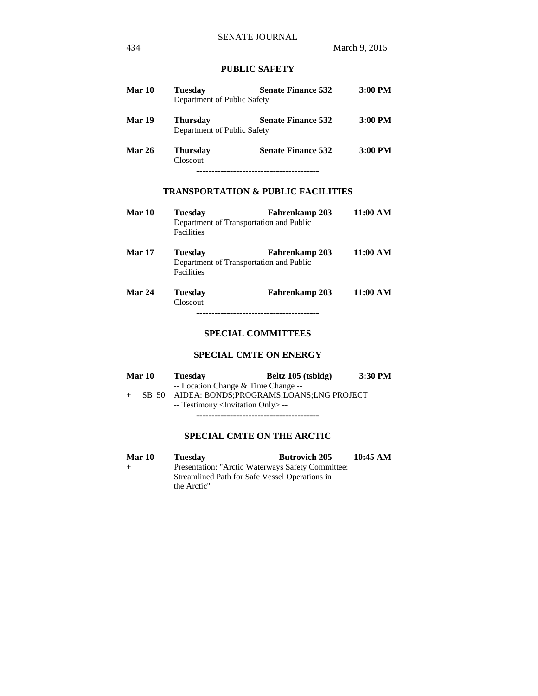## **PUBLIC SAFETY**

| Mar 10        | Tuesday<br>Department of Public Safety         | <b>Senate Finance 532</b> | $3:00$ PM |
|---------------|------------------------------------------------|---------------------------|-----------|
| Mar 19        | <b>Thursday</b><br>Department of Public Safety | <b>Senate Finance 532</b> | $3:00$ PM |
| <b>Mar 26</b> | <b>Thursday</b><br>Closeout                    | <b>Senate Finance 532</b> | $3:00$ PM |
|               |                                                |                           |           |

### **TRANSPORTATION & PUBLIC FACILITIES**

- **Mar 10 Tuesday Fahrenkamp 203 11:00 AM**  Department of Transportation and Public Facilities
- **Mar 17 Tuesday Fahrenkamp 203 11:00 AM**  Department of Transportation and Public Facilities
- **Mar 24 Tuesday Fahrenkamp 203 11:00 AM**  Closeout ----------------------------------------

#### **SPECIAL COMMITTEES**

#### **SPECIAL CMTE ON ENERGY**

| <b>Mar 10</b> | <b>Tuesday</b>                                    | Beltz 105 (tsbldg)                      | 3:30 PM |
|---------------|---------------------------------------------------|-----------------------------------------|---------|
|               | -- Location Change & Time Change --               |                                         |         |
| SB 50         |                                                   | AIDEA: BONDS;PROGRAMS;LOANS;LNG PROJECT |         |
|               | -- Testimony <invitation only=""> --</invitation> |                                         |         |
|               |                                                   |                                         |         |

#### **SPECIAL CMTE ON THE ARCTIC**

Mar 10 Tuesday Butrovich 205 10:45 AM + Presentation: "Arctic Waterways Safety Committee: Streamlined Path for Safe Vessel Operations in the Arctic"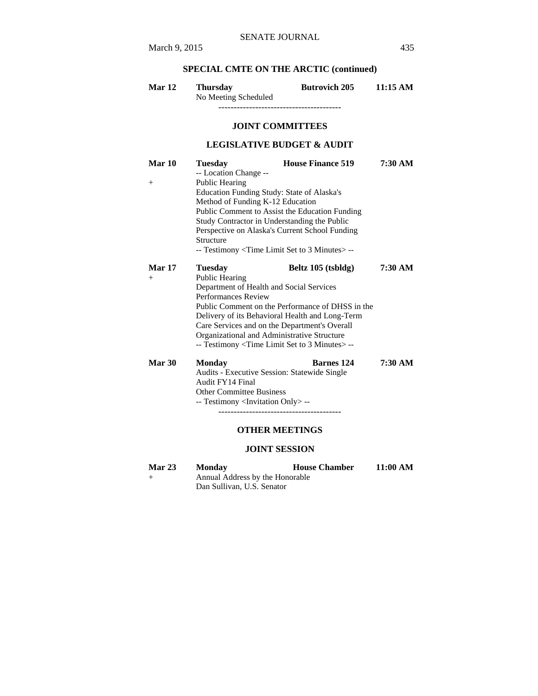# **SPECIAL CMTE ON THE ARCTIC (continued)**

| <b>Mar 12</b> | Thursday             | <b>Butrovich 205</b> | 11:15 AM |
|---------------|----------------------|----------------------|----------|
|               | No Meeting Scheduled |                      |          |

----------------------------------------

#### **JOINT COMMITTEES**

# **LEGISLATIVE BUDGET & AUDIT**

| Mar 10        | <b>Tuesday</b>                                                                                                                                                | <b>House Finance 519</b> | 7:30 AM |  |
|---------------|---------------------------------------------------------------------------------------------------------------------------------------------------------------|--------------------------|---------|--|
|               | -- Location Change --                                                                                                                                         |                          |         |  |
| $^{+}$        | <b>Public Hearing</b>                                                                                                                                         |                          |         |  |
|               | Education Funding Study: State of Alaska's                                                                                                                    |                          |         |  |
|               | Method of Funding K-12 Education                                                                                                                              |                          |         |  |
|               | Public Comment to Assist the Education Funding<br>Study Contractor in Understanding the Public<br>Perspective on Alaska's Current School Funding<br>Structure |                          |         |  |
|               |                                                                                                                                                               |                          |         |  |
|               |                                                                                                                                                               |                          |         |  |
|               |                                                                                                                                                               |                          |         |  |
|               | -- Testimony < Time Limit Set to 3 Minutes > --                                                                                                               |                          |         |  |
| <b>Mar 17</b> | <b>Tuesday</b>                                                                                                                                                | Beltz 105 (tsbldg)       | 7:30 AM |  |
| $^{+}$        | Public Hearing                                                                                                                                                |                          |         |  |
|               | Department of Health and Social Services                                                                                                                      |                          |         |  |
|               |                                                                                                                                                               |                          |         |  |
|               | <b>Performances Review</b><br>Public Comment on the Performance of DHSS in the                                                                                |                          |         |  |
|               | Delivery of its Behavioral Health and Long-Term<br>Care Services and on the Department's Overall                                                              |                          |         |  |
|               |                                                                                                                                                               |                          |         |  |
|               | Organizational and Administrative Structure                                                                                                                   |                          |         |  |
|               | -- Testimony < Time Limit Set to 3 Minutes > --                                                                                                               |                          |         |  |
|               |                                                                                                                                                               |                          |         |  |
| Mar 30        | <b>Monday</b>                                                                                                                                                 | <b>Barnes</b> 124        | 7:30 AM |  |
|               | Audits - Executive Session: Statewide Single                                                                                                                  |                          |         |  |
|               | Audit FY14 Final                                                                                                                                              |                          |         |  |
|               | <b>Other Committee Business</b>                                                                                                                               |                          |         |  |
|               | -- Testimony <invitation only=""> --</invitation>                                                                                                             |                          |         |  |
|               |                                                                                                                                                               |                          |         |  |
|               |                                                                                                                                                               |                          |         |  |
|               |                                                                                                                                                               | <b>OTHER MEETINGS</b>    |         |  |

# **JOINT SESSION**

| <b>Mar 23</b> | <b>Monday</b>              | <b>House Chamber</b>            | 11:00 AM |  |
|---------------|----------------------------|---------------------------------|----------|--|
| $+$           |                            | Annual Address by the Honorable |          |  |
|               | Dan Sullivan, U.S. Senator |                                 |          |  |